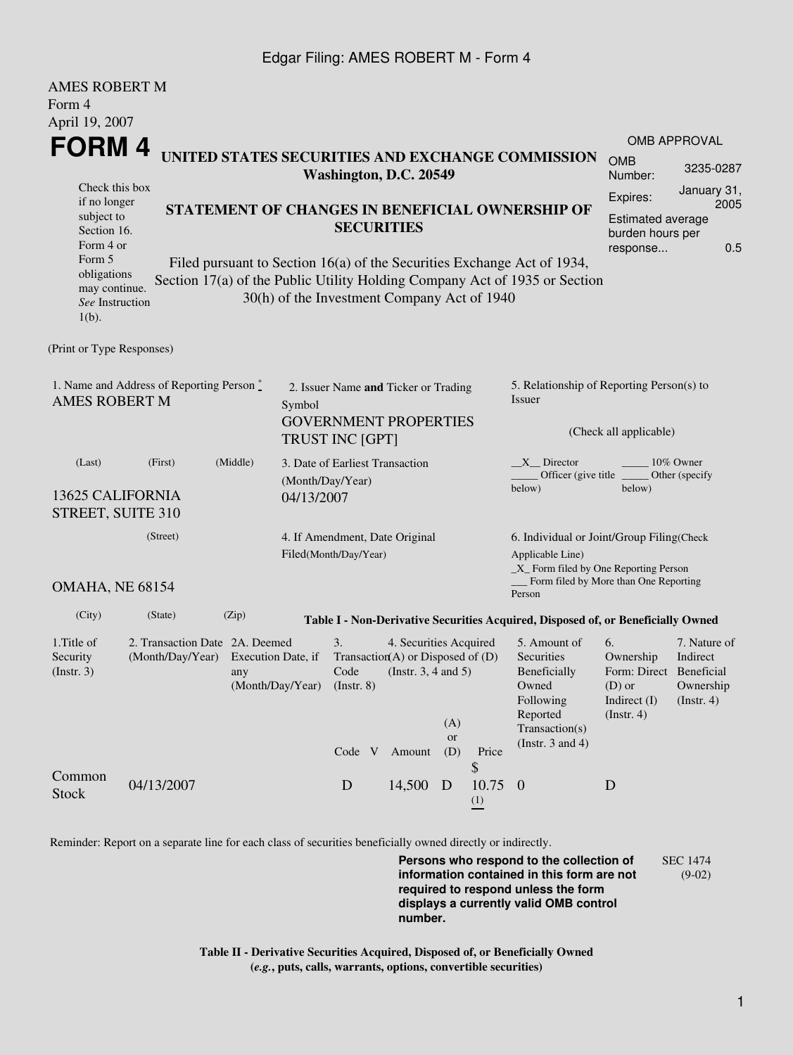## Edgar Filing: AMES ROBERT M - Form 4

AMES ROBERT M

| AMIES KUDEKT M<br>Form 4                                                                             |                                                    |                           |            |                                                                                                |                                                                                           |                  |                                                                                                                                                       |                                                                                                                                                       |                                                                                                 |                                        |  |
|------------------------------------------------------------------------------------------------------|----------------------------------------------------|---------------------------|------------|------------------------------------------------------------------------------------------------|-------------------------------------------------------------------------------------------|------------------|-------------------------------------------------------------------------------------------------------------------------------------------------------|-------------------------------------------------------------------------------------------------------------------------------------------------------|-------------------------------------------------------------------------------------------------|----------------------------------------|--|
| April 19, 2007                                                                                       |                                                    |                           |            |                                                                                                |                                                                                           |                  |                                                                                                                                                       |                                                                                                                                                       |                                                                                                 |                                        |  |
| FORM 4<br>UNITED STATES SECURITIES AND EXCHANGE COMMISSION                                           |                                                    |                           |            |                                                                                                |                                                                                           |                  | <b>OMB</b>                                                                                                                                            | OMB APPROVAL                                                                                                                                          |                                                                                                 |                                        |  |
| Check this box                                                                                       |                                                    |                           |            | Washington, D.C. 20549                                                                         |                                                                                           |                  |                                                                                                                                                       |                                                                                                                                                       | Number:                                                                                         | 3235-0287<br>January 31,               |  |
| if no longer<br>subject to<br>Section 16.<br>Form 4 or                                               |                                                    |                           |            | STATEMENT OF CHANGES IN BENEFICIAL OWNERSHIP OF<br><b>SECURITIES</b>                           |                                                                                           |                  |                                                                                                                                                       |                                                                                                                                                       | Expires:<br>Estimated average<br>burden hours per<br>response                                   | 2005<br>0.5                            |  |
| Form 5<br>obligations<br>may continue.<br>See Instruction<br>$1(b)$ .                                |                                                    |                           |            | 30(h) of the Investment Company Act of 1940                                                    |                                                                                           |                  |                                                                                                                                                       | Filed pursuant to Section 16(a) of the Securities Exchange Act of 1934,<br>Section 17(a) of the Public Utility Holding Company Act of 1935 or Section |                                                                                                 |                                        |  |
| (Print or Type Responses)                                                                            |                                                    |                           |            |                                                                                                |                                                                                           |                  |                                                                                                                                                       |                                                                                                                                                       |                                                                                                 |                                        |  |
| 1. Name and Address of Reporting Person $\stackrel{*}{\mathbb{L}}$<br><b>AMES ROBERT M</b><br>Symbol |                                                    |                           |            | 2. Issuer Name and Ticker or Trading<br><b>GOVERNMENT PROPERTIES</b><br><b>TRUST INC [GPT]</b> |                                                                                           |                  |                                                                                                                                                       | 5. Relationship of Reporting Person(s) to<br>Issuer<br>(Check all applicable)                                                                         |                                                                                                 |                                        |  |
| (Middle)<br>(Last)<br>(First)<br>13625 CALIFORNIA<br>STREET, SUITE 310                               |                                                    |                           | 04/13/2007 | 3. Date of Earliest Transaction<br>(Month/Day/Year)                                            |                                                                                           |                  |                                                                                                                                                       | $X$ Director<br>10% Owner<br>Officer (give title $\phantom{0}$<br>Other (specify)<br>below)<br>below)                                                 |                                                                                                 |                                        |  |
| (Street)<br>OMAHA, NE 68154                                                                          |                                                    |                           |            | 4. If Amendment, Date Original<br>Filed(Month/Day/Year)                                        |                                                                                           |                  | 6. Individual or Joint/Group Filing(Check<br>Applicable Line)<br>$\_X$ Form filed by One Reporting Person<br>__ Form filed by More than One Reporting |                                                                                                                                                       |                                                                                                 |                                        |  |
| (City)                                                                                               | (State)                                            | (Zip)                     |            |                                                                                                |                                                                                           |                  |                                                                                                                                                       | Person                                                                                                                                                |                                                                                                 |                                        |  |
|                                                                                                      |                                                    |                           |            |                                                                                                |                                                                                           |                  |                                                                                                                                                       | Table I - Non-Derivative Securities Acquired, Disposed of, or Beneficially Owned                                                                      |                                                                                                 |                                        |  |
| 1. Title of<br>Security<br>$($ Instr. 3 $)$                                                          | 2. Transaction Date 2A. Deemed<br>(Month/Day/Year) | Execution Date, if<br>any |            | 3.<br>Code<br>(Month/Day/Year) (Instr. 8)                                                      | 4. Securities Acquired<br>Transaction(A) or Disposed of $(D)$<br>(Instr. $3, 4$ and $5$ ) | (A)<br><b>or</b> |                                                                                                                                                       | 5. Amount of<br>Securities<br>Beneficially<br>Owned<br>Following<br>Reported<br>Transaction(s)<br>(Instr. $3$ and $4$ )                               | 6.<br>Ownership<br>Form: Direct Beneficial<br>(D) or Ownership<br>Indirect $(I)$<br>(Insert. 4) | 7. Nature of<br>Indirect<br>(Instr. 4) |  |
| Common<br><b>Stock</b>                                                                               | 04/13/2007                                         |                           |            | D                                                                                              | Code V Amount<br>14,500 D                                                                 | (D)              | Price<br>\$<br>$10.75 \quad 0$<br>(1)                                                                                                                 |                                                                                                                                                       | D                                                                                               |                                        |  |

Reminder: Report on a separate line for each class of securities beneficially owned directly or indirectly.

**Persons who respond to the collection of information contained in this form are not required to respond unless the form displays a currently valid OMB control number.** SEC 1474 (9-02)

**Table II - Derivative Securities Acquired, Disposed of, or Beneficially Owned (***e.g.***, puts, calls, warrants, options, convertible securities)**